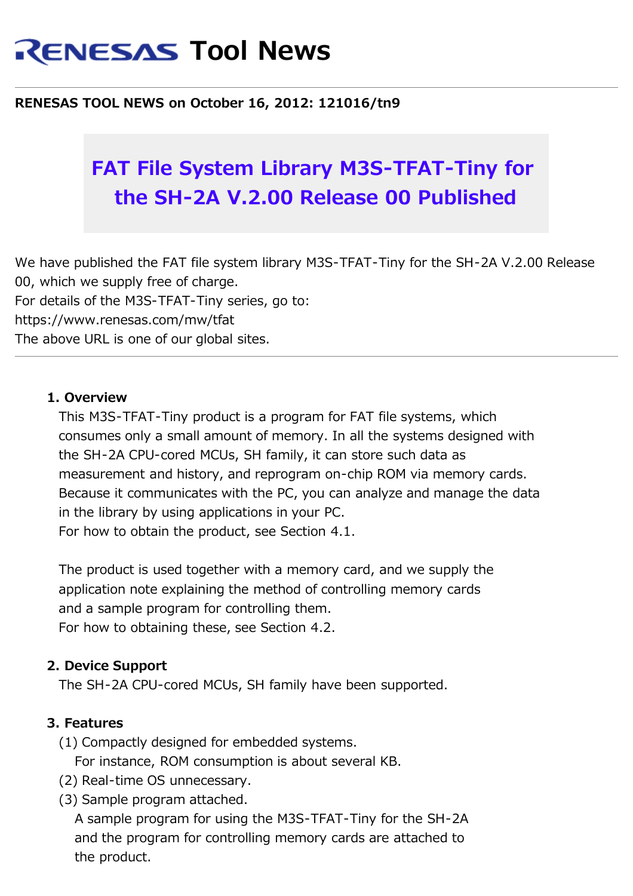# **RENESAS Tool News**

#### **RENESAS TOOL NEWS on October 16, 2012: 121016/tn9**

# **FAT File System Library M3S-TFAT-Tiny for the SH-2A V.2.00 Release 00 Published**

We have published the FAT file system library M3S-TFAT-Tiny for the SH-2A V.2.00 Release 00, which we supply free of charge. For details of the M3S-TFAT-Tiny series, go to: https://www.renesas.com/mw/tfat The above URL is one of our global sites.

#### **1. Overview**

This M3S-TFAT-Tiny product is a program for FAT file systems, which consumes only a small amount of memory. In all the systems designed with the SH-2A CPU-cored MCUs, SH family, it can store such data as measurement and history, and reprogram on-chip ROM via memory cards. Because it communicates with the PC, you can analyze and manage the data in the library by using applications in your PC.

For how to obtain the product, see Section 4.1.

The product is used together with a memory card, and we supply the application note explaining the method of controlling memory cards and a sample program for controlling them.

For how to obtaining these, see Section 4.2.

#### **2. Device Support**

The SH-2A CPU-cored MCUs, SH family have been supported.

#### **3. Features**

(1) Compactly designed for embedded systems.

For instance, ROM consumption is about several KB.

- (2) Real-time OS unnecessary.
- (3) Sample program attached.

A sample program for using the M3S-TFAT-Tiny for the SH-2A and the program for controlling memory cards are attached to the product.